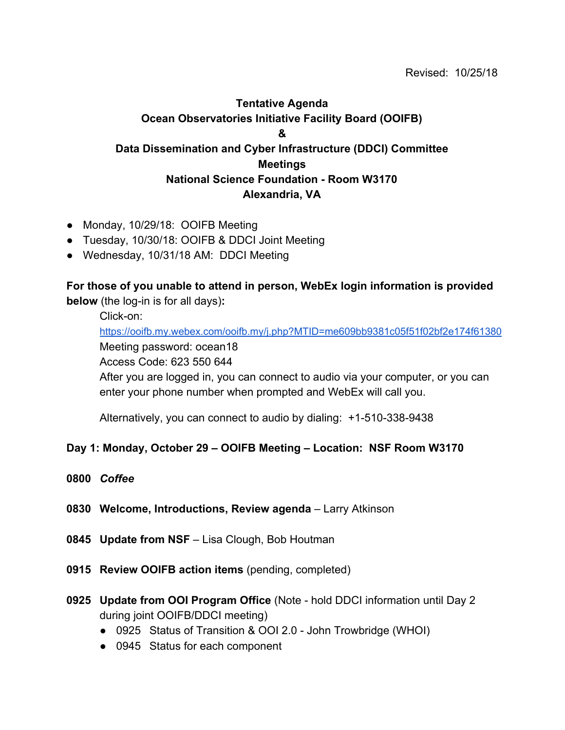# **Tentative Agenda Ocean Observatories Initiative Facility Board (OOIFB) & Data Dissemination and Cyber Infrastructure (DDCI) Committee Meetings National Science Foundation - Room W3170 Alexandria, VA**

- Monday, 10/29/18: OOIFB Meeting
- Tuesday, 10/30/18: OOIFB & DDCI Joint Meeting
- Wednesday, 10/31/18 AM: DDCI Meeting

# **For those of you unable to attend in person, WebEx login information is provided below** (the log-in is for all days)**:**

Click-on:

<https://ooifb.my.webex.com/ooifb.my/j.php?MTID=me609bb9381c05f51f02bf2e174f61380> Meeting password: ocean18

Access Code: 623 550 644

After you are logged in, you can connect to audio via your computer, or you can enter your phone number when prompted and WebEx will call you.

Alternatively, you can connect to audio by dialing: +1-510-338-9438

## **Day 1: Monday, October 29 – OOIFB Meeting – Location: NSF Room W3170**

- **0800** *Coffee*
- **0830 Welcome, Introductions, Review agenda** Larry Atkinson
- **0845 Update from NSF** Lisa Clough, Bob Houtman
- **0915 Review OOIFB action items** (pending, completed)
- **0925 Update from OOI Program Office** (Note hold DDCI information until Day 2 during joint OOIFB/DDCI meeting)
	- 0925 Status of Transition & OOI 2.0 John Trowbridge (WHOI)
	- 0945 Status for each component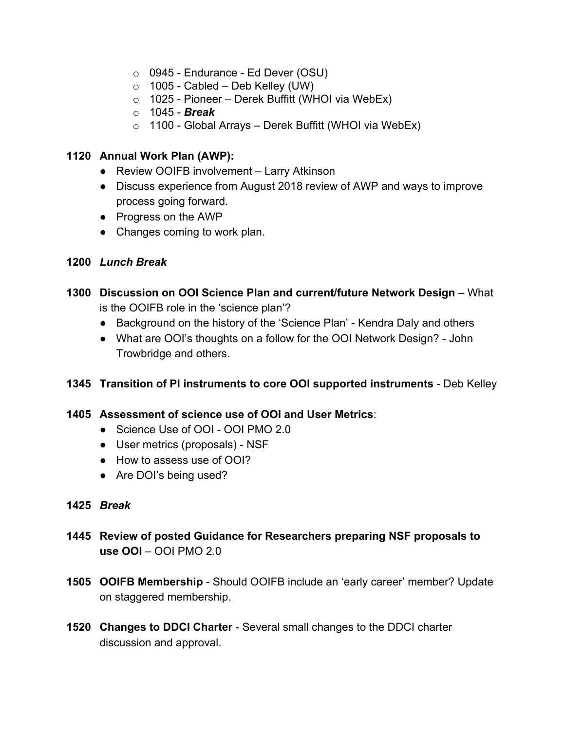- $\circ$  0945 Endurance Ed Dever (OSU)
- o 1005 Cabled Deb Kelley (UW)
- $\circ$  1025 Pioneer Derek Buffitt (WHOI via WebEx)
- o 1045 *Break*
- $\circ$  1100 Global Arrays Derek Buffitt (WHOI via WebEx)

## **1120 Annual Work Plan (AWP):**

- Review OOIFB involvement Larry Atkinson
- Discuss experience from August 2018 review of AWP and ways to improve process going forward.
- Progress on the AWP
- Changes coming to work plan.

### **1200** *Lunch Break*

- **1300 Discussion on OOI Science Plan and current/future Network Design** What is the OOIFB role in the 'science plan'?
	- Background on the history of the 'Science Plan' Kendra Daly and others
	- What are OOI's thoughts on a follow for the OOI Network Design? John Trowbridge and others.

## **1345 Transition of PI instruments to core OOI supported instruments** - Deb Kelley

#### **1405 Assessment of science use of OOI and User Metrics**:

- Science Use of OOI OOI PMO 2.0
- User metrics (proposals) NSF
- How to assess use of OOI?
- Are DOI's being used?

#### **1425** *Break*

- **1445 Review of posted Guidance for Researchers preparing NSF proposals to use OOI** – OOI PMO 2.0
- **1505 OOIFB Membership** Should OOIFB include an 'early career' member? Update on staggered membership.
- **1520 Changes to DDCI Charter**  Several small changes to the DDCI charter discussion and approval.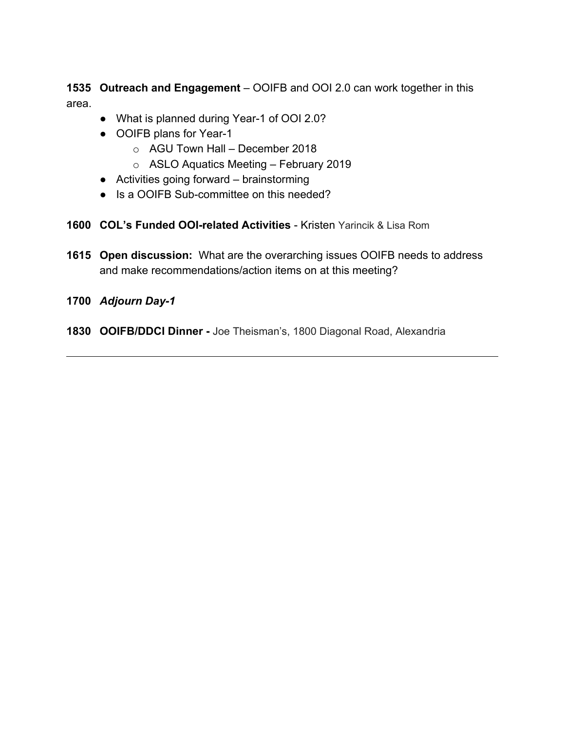**1535 Outreach and Engagement** – OOIFB and OOI 2.0 can work together in this area.

- What is planned during Year-1 of OOI 2.0?
- OOIFB plans for Year-1
	- o AGU Town Hall December 2018
	- o ASLO Aquatics Meeting February 2019
- Activities going forward brainstorming
- Is a OOIFB Sub-committee on this needed?
- **1600 COL's Funded OOI-related Activities** Kristen Yarincik & Lisa Rom
- **1615 Open discussion:** What are the overarching issues OOIFB needs to address and make recommendations/action items on at this meeting?
- **1700** *Adjourn Day-1*
- **1830 OOIFB/DDCI Dinner** Joe Theisman's, 1800 Diagonal Road, Alexandria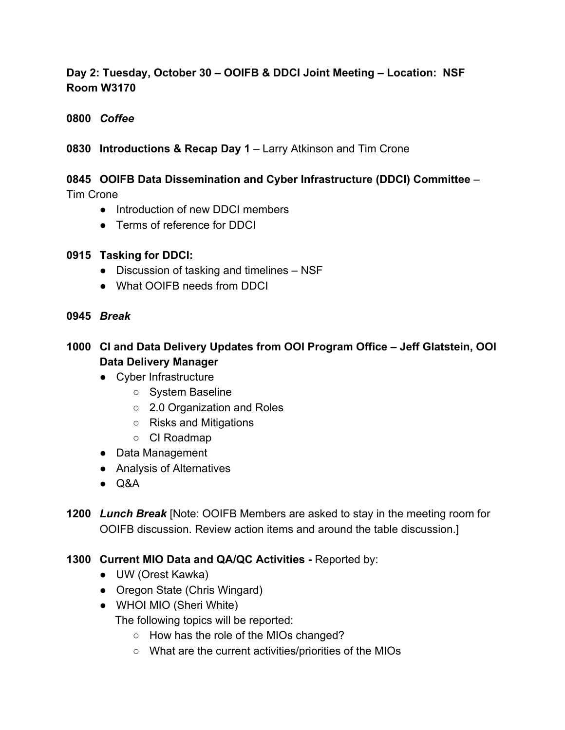# **Day 2: Tuesday, October 30 – OOIFB & DDCI Joint Meeting – Location: NSF Room W3170**

## **0800** *Coffee*

# **0830 Introductions & Recap Day 1** – Larry Atkinson and Tim Crone

# **0845 OOIFB Data Dissemination and Cyber Infrastructure (DDCI) Committee** –

Tim Crone

- Introduction of new DDCI members
- Terms of reference for DDCI

## **0915 Tasking for DDCI:**

- Discussion of tasking and timelines NSF
- What OOIFB needs from DDCI
- **0945** *Break*

# **1000 CI and Data Delivery Updates from OOI Program Office – Jeff Glatstein, OOI Data Delivery Manager**

- Cyber Infrastructure
	- System Baseline
	- 2.0 Organization and Roles
	- Risks and Mitigations
	- CI Roadmap
- Data Management
- Analysis of Alternatives
- $\bullet$  Q&A
- **1200** *Lunch Break* [Note: OOIFB Members are asked to stay in the meeting room for OOIFB discussion. Review action items and around the table discussion.]

# **1300 Current MIO Data and QA/QC Activities -** Reported by:

- UW (Orest Kawka)
- Oregon State (Chris Wingard)
- WHOI MIO (Sheri White)

The following topics will be reported:

- How has the role of the MIOs changed?
- What are the current activities/priorities of the MIOs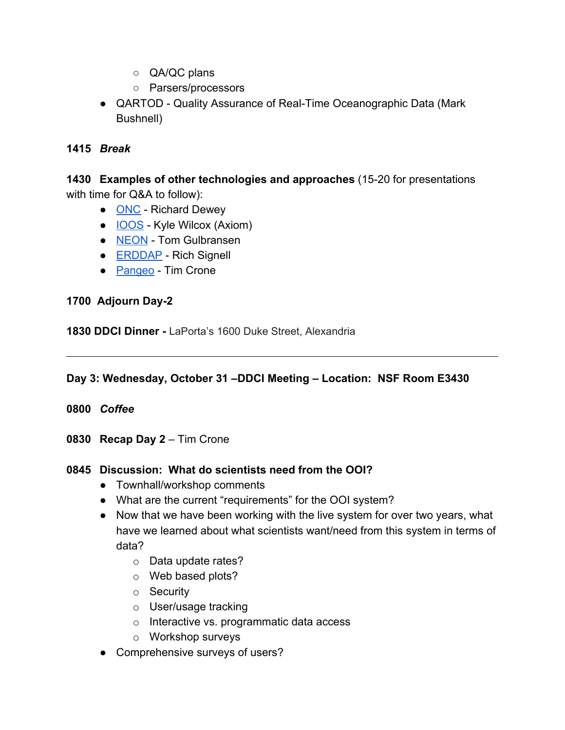- QA/QC plans
- Parsers/processors
- QARTOD Quality Assurance of Real-Time Oceanographic Data (Mark Bushnell)

## **1415** *Break*

**1430 Examples of other technologies and approaches** (15-20 for presentations with time for Q&A to follow):

- [ONC](http://www.oceannetworks.ca/)  Richard Dewey
- **[IOOS](https://ioos.noaa.gov/)** Kyle Wilcox (Axiom)
- [NEON](https://www.neonscience.org/) Tom Gulbransen
- **[ERDDAP](https://www.ncei.noaa.gov/erddap/index.html)** Rich Signell
- [Pangeo](https://pangeo.io/) Tim Crone

# **1700 Adjourn Day-2**

**1830 DDCI Dinner -** LaPorta's 1600 Duke Street, Alexandria

# **Day 3: Wednesday, October 31 –DDCI Meeting – Location: NSF Room E3430**

- **0800** *Coffee*
- **0830 Recap Day 2** Tim Crone

## **0845 Discussion: What do scientists need from the OOI?**

- Townhall/workshop comments
- What are the current "requirements" for the OOI system?
- Now that we have been working with the live system for over two years, what have we learned about what scientists want/need from this system in terms of data?
	- o Data update rates?
	- o Web based plots?
	- o Security
	- o User/usage tracking
	- o Interactive vs. programmatic data access
	- o Workshop surveys
- Comprehensive surveys of users?